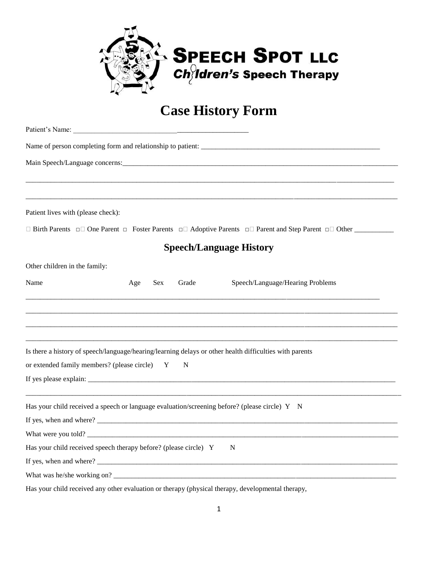

## **Case History Form**

| Patient lives with (please check):                               |     |            |       |                                                                                                                                 |  |
|------------------------------------------------------------------|-----|------------|-------|---------------------------------------------------------------------------------------------------------------------------------|--|
|                                                                  |     |            |       | $\Box$ Birth Parents $\Box$ One Parent $\Box$ Foster Parents $\Box$ Adoptive Parents $\Box$ Parent and Step Parent $\Box$ Other |  |
|                                                                  |     |            |       | <b>Speech/Language History</b>                                                                                                  |  |
| Other children in the family:                                    |     |            |       |                                                                                                                                 |  |
| Name                                                             | Age | <b>Sex</b> | Grade | Speech/Language/Hearing Problems                                                                                                |  |
|                                                                  |     |            |       |                                                                                                                                 |  |
|                                                                  |     |            |       |                                                                                                                                 |  |
|                                                                  |     |            |       |                                                                                                                                 |  |
|                                                                  |     |            |       | Is there a history of speech/language/hearing/learning delays or other health difficulties with parents                         |  |
| or extended family members? (please circle) Y                    |     |            | N     |                                                                                                                                 |  |
| If yes please explain:                                           |     |            |       |                                                                                                                                 |  |
|                                                                  |     |            |       | Has your child received a speech or language evaluation/screening before? (please circle) Y N                                   |  |
|                                                                  |     |            |       |                                                                                                                                 |  |
|                                                                  |     |            |       |                                                                                                                                 |  |
| Has your child received speech therapy before? (please circle) Y |     |            |       | N                                                                                                                               |  |
|                                                                  |     |            |       |                                                                                                                                 |  |
|                                                                  |     |            |       |                                                                                                                                 |  |
|                                                                  |     |            |       |                                                                                                                                 |  |

Has your child received any other evaluation or therapy (physical therapy, developmental therapy,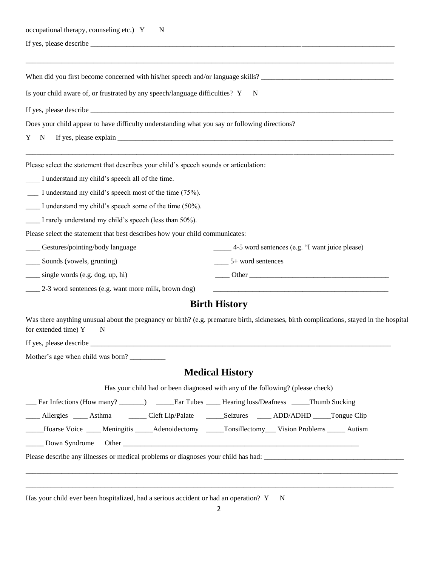| occupational therapy, counseling etc.) Y<br>$\mathbb{N}$                                                |                                                                                                                                         |
|---------------------------------------------------------------------------------------------------------|-----------------------------------------------------------------------------------------------------------------------------------------|
|                                                                                                         |                                                                                                                                         |
|                                                                                                         |                                                                                                                                         |
| Is your child aware of, or frustrated by any speech/language difficulties? Y                            | N                                                                                                                                       |
|                                                                                                         |                                                                                                                                         |
| Does your child appear to have difficulty understanding what you say or following directions?           |                                                                                                                                         |
| $\mathbf N$<br>Y                                                                                        |                                                                                                                                         |
| Please select the statement that describes your child's speech sounds or articulation:                  |                                                                                                                                         |
| I understand my child's speech all of the time.                                                         |                                                                                                                                         |
| $\frac{1}{2}$ I understand my child's speech most of the time (75%).                                    |                                                                                                                                         |
| I understand my child's speech some of the time (50%).                                                  |                                                                                                                                         |
| I rarely understand my child's speech (less than 50%).                                                  |                                                                                                                                         |
| Please select the statement that best describes how your child communicates:                            |                                                                                                                                         |
| ____ Gestures/pointing/body language                                                                    | 4-5 word sentences (e.g. "I want juice please)                                                                                          |
| ___ Sounds (vowels, grunting)                                                                           | $\frac{5}{2}$ + word sentences                                                                                                          |
| ____ single words (e.g. dog, up, hi)                                                                    |                                                                                                                                         |
| 2-3 word sentences (e.g. want more milk, brown dog)                                                     |                                                                                                                                         |
|                                                                                                         | <b>Birth History</b>                                                                                                                    |
| for extended time) Y<br>N                                                                               | Was there anything unusual about the pregnancy or birth? (e.g. premature birth, sicknesses, birth complications, stayed in the hospital |
| If yes, please describe                                                                                 |                                                                                                                                         |
| Mother's age when child was born?                                                                       |                                                                                                                                         |
|                                                                                                         | <b>Medical History</b>                                                                                                                  |
|                                                                                                         | Has your child had or been diagnosed with any of the following? (please check)                                                          |
| __ Ear Infections (How many? _______) ______ Ear Tubes _____ Hearing loss/Deafness _____Thumb Sucking   |                                                                                                                                         |
| _____ Allergies _____ Asthma _______ Cleft Lip/Palate ______ Seizures _____ ADD/ADHD _____ Tongue Clip  |                                                                                                                                         |
| Hoarse Voice ____ Meningitis _____ Adenoidectomy ______ Tonsillectomy ____ Vision Problems _____ Autism |                                                                                                                                         |
| _____ Down Syndrome                                                                                     |                                                                                                                                         |
|                                                                                                         | Please describe any illnesses or medical problems or diagnoses your child has had:                                                      |

Has your child ever been hospitalized, had a serious accident or had an operation? Y N